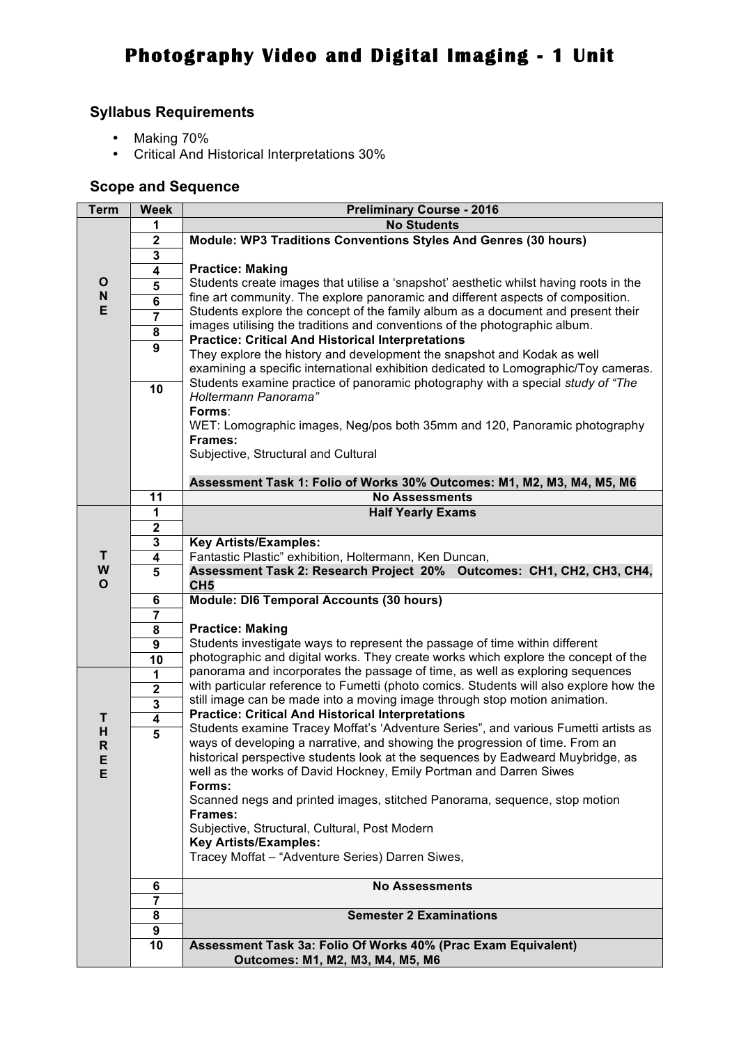## **Syllabus Requirements**

- Making 70%
- Critical And Historical Interpretations 30%

## **Scope and Sequence**

| <b>Term</b>                    | <b>Week</b>             | <b>Preliminary Course - 2016</b>                                                                                                                                                                                                                      |  |  |  |  |  |
|--------------------------------|-------------------------|-------------------------------------------------------------------------------------------------------------------------------------------------------------------------------------------------------------------------------------------------------|--|--|--|--|--|
|                                | 1                       | <b>No Students</b>                                                                                                                                                                                                                                    |  |  |  |  |  |
|                                | $\mathbf{2}$            | Module: WP3 Traditions Conventions Styles And Genres (30 hours)                                                                                                                                                                                       |  |  |  |  |  |
|                                | 3                       |                                                                                                                                                                                                                                                       |  |  |  |  |  |
|                                | 4                       | <b>Practice: Making</b>                                                                                                                                                                                                                               |  |  |  |  |  |
| $\mathbf{o}$                   | 5                       | Students create images that utilise a 'snapshot' aesthetic whilst having roots in the                                                                                                                                                                 |  |  |  |  |  |
| $\boldsymbol{\mathsf{N}}$<br>E | 6                       | fine art community. The explore panoramic and different aspects of composition.                                                                                                                                                                       |  |  |  |  |  |
|                                | $\overline{\mathbf{7}}$ | Students explore the concept of the family album as a document and present their                                                                                                                                                                      |  |  |  |  |  |
|                                | $\overline{\mathbf{8}}$ | images utilising the traditions and conventions of the photographic album.<br><b>Practice: Critical And Historical Interpretations</b>                                                                                                                |  |  |  |  |  |
|                                | $\overline{9}$          | They explore the history and development the snapshot and Kodak as well                                                                                                                                                                               |  |  |  |  |  |
|                                |                         | examining a specific international exhibition dedicated to Lomographic/Toy cameras.                                                                                                                                                                   |  |  |  |  |  |
|                                |                         | Students examine practice of panoramic photography with a special study of "The                                                                                                                                                                       |  |  |  |  |  |
|                                | 10                      | Holtermann Panorama"                                                                                                                                                                                                                                  |  |  |  |  |  |
|                                |                         | Forms:                                                                                                                                                                                                                                                |  |  |  |  |  |
|                                |                         | WET: Lomographic images, Neg/pos both 35mm and 120, Panoramic photography                                                                                                                                                                             |  |  |  |  |  |
|                                |                         | Frames:                                                                                                                                                                                                                                               |  |  |  |  |  |
|                                |                         | Subjective, Structural and Cultural                                                                                                                                                                                                                   |  |  |  |  |  |
|                                |                         |                                                                                                                                                                                                                                                       |  |  |  |  |  |
|                                |                         | Assessment Task 1: Folio of Works 30% Outcomes: M1, M2, M3, M4, M5, M6                                                                                                                                                                                |  |  |  |  |  |
|                                | 11                      | <b>No Assessments</b>                                                                                                                                                                                                                                 |  |  |  |  |  |
|                                | 1                       | <b>Half Yearly Exams</b>                                                                                                                                                                                                                              |  |  |  |  |  |
|                                | $\mathbf 2$             |                                                                                                                                                                                                                                                       |  |  |  |  |  |
| т                              | ${\bf 3}$               | <b>Key Artists/Examples:</b><br>Fantastic Plastic" exhibition, Holtermann, Ken Duncan,                                                                                                                                                                |  |  |  |  |  |
|                                | $\overline{\mathbf{4}}$ |                                                                                                                                                                                                                                                       |  |  |  |  |  |
| W<br>$\mathbf{o}$              | $\overline{5}$          | Assessment Task 2: Research Project 20% Outcomes: CH1, CH2, CH3, CH4,                                                                                                                                                                                 |  |  |  |  |  |
|                                | $\bf 6$                 | CH <sub>5</sub><br>Module: DI6 Temporal Accounts (30 hours)                                                                                                                                                                                           |  |  |  |  |  |
|                                | $\overline{\mathbf{7}}$ | <b>Practice: Making</b>                                                                                                                                                                                                                               |  |  |  |  |  |
|                                | $\overline{\mathbf{8}}$ |                                                                                                                                                                                                                                                       |  |  |  |  |  |
|                                | $\overline{9}$          | Students investigate ways to represent the passage of time within different<br>photographic and digital works. They create works which explore the concept of the                                                                                     |  |  |  |  |  |
|                                | $\overline{10}$         |                                                                                                                                                                                                                                                       |  |  |  |  |  |
|                                | 1                       | panorama and incorporates the passage of time, as well as exploring sequences<br>with particular reference to Fumetti (photo comics. Students will also explore how the<br>still image can be made into a moving image through stop motion animation. |  |  |  |  |  |
|                                | $\overline{2}$          |                                                                                                                                                                                                                                                       |  |  |  |  |  |
| T<br>H<br>$\mathbf R$          | $\overline{\mathbf{3}}$ |                                                                                                                                                                                                                                                       |  |  |  |  |  |
|                                | $\overline{4}$          | <b>Practice: Critical And Historical Interpretations</b>                                                                                                                                                                                              |  |  |  |  |  |
|                                | $\overline{5}$          | Students examine Tracey Moffat's 'Adventure Series", and various Fumetti artists as                                                                                                                                                                   |  |  |  |  |  |
|                                |                         | ways of developing a narrative, and showing the progression of time. From an                                                                                                                                                                          |  |  |  |  |  |
| Е                              |                         | historical perspective students look at the sequences by Eadweard Muybridge, as                                                                                                                                                                       |  |  |  |  |  |
| E                              |                         | well as the works of David Hockney, Emily Portman and Darren Siwes<br>Forms:                                                                                                                                                                          |  |  |  |  |  |
|                                |                         | Scanned negs and printed images, stitched Panorama, sequence, stop motion                                                                                                                                                                             |  |  |  |  |  |
|                                |                         | Frames:                                                                                                                                                                                                                                               |  |  |  |  |  |
|                                |                         | Subjective, Structural, Cultural, Post Modern                                                                                                                                                                                                         |  |  |  |  |  |
|                                |                         | <b>Key Artists/Examples:</b>                                                                                                                                                                                                                          |  |  |  |  |  |
|                                |                         | Tracey Moffat - "Adventure Series) Darren Siwes,                                                                                                                                                                                                      |  |  |  |  |  |
|                                |                         |                                                                                                                                                                                                                                                       |  |  |  |  |  |
|                                | 6                       | <b>No Assessments</b>                                                                                                                                                                                                                                 |  |  |  |  |  |
|                                | $\overline{\mathbf{7}}$ |                                                                                                                                                                                                                                                       |  |  |  |  |  |
|                                | 8                       | <b>Semester 2 Examinations</b>                                                                                                                                                                                                                        |  |  |  |  |  |
|                                | 9                       |                                                                                                                                                                                                                                                       |  |  |  |  |  |
|                                | 10                      | Assessment Task 3a: Folio Of Works 40% (Prac Exam Equivalent)                                                                                                                                                                                         |  |  |  |  |  |
|                                |                         | Outcomes: M1, M2, M3, M4, M5, M6                                                                                                                                                                                                                      |  |  |  |  |  |